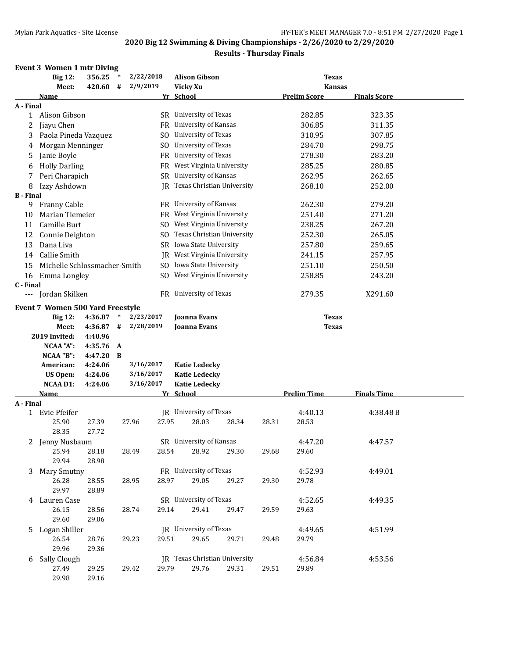| <b>Kansas</b>       |
|---------------------|
| <b>Finals Score</b> |
|                     |
| 323.35              |
| 311.35              |
| 307.85              |
| 298.75              |
| 283.20              |
| 280.85              |
| 262.65              |
| 252.00              |
|                     |
| 279.20              |
| 271.20              |
| 267.20              |
| 265.05              |
| 259.65              |
| 257.95              |
| 250.50              |
| 243.20              |
|                     |
| X291.60             |
|                     |
|                     |
|                     |
|                     |
|                     |
|                     |
|                     |
|                     |
|                     |
| <b>Finals Time</b>  |
|                     |
| 4:38.48B            |
|                     |
| 4:47.57             |
|                     |
|                     |
| 4:49.01             |
|                     |
|                     |
|                     |
|                     |
| 4:49.35             |
|                     |
|                     |
| 4:51.99             |
|                     |
|                     |
| 4:53.56             |
|                     |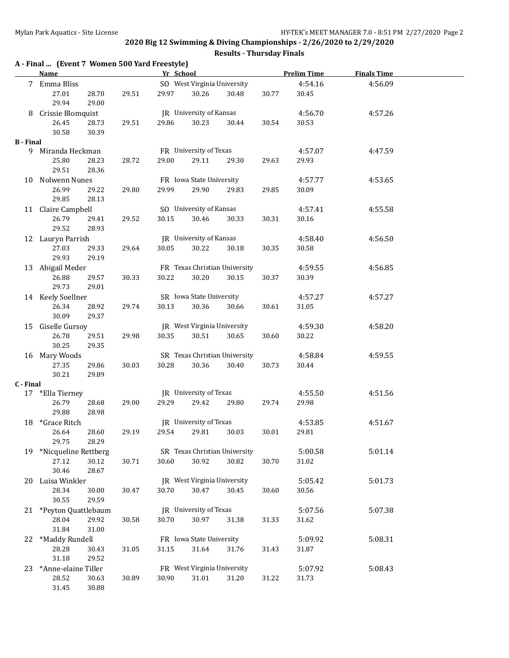|                  | A - Final  (Event 7 Women 500 Yard Freestyle)<br><b>Name</b> |                |       |       | Yr School                   |                               |       | <b>Prelim Time</b> | <b>Finals Time</b> |  |
|------------------|--------------------------------------------------------------|----------------|-------|-------|-----------------------------|-------------------------------|-------|--------------------|--------------------|--|
|                  | 7 Emma Bliss                                                 |                |       |       | SO West Virginia University |                               |       | 4:54.16            | 4:56.09            |  |
|                  | 27.01<br>29.94                                               | 28.70<br>29.00 | 29.51 | 29.97 | 30.26                       | 30.48                         | 30.77 | 30.45              |                    |  |
|                  | 8 Crissie Blomquist                                          |                |       |       | JR University of Kansas     |                               |       | 4:56.70            | 4:57.26            |  |
|                  | 26.45                                                        | 28.73          | 29.51 | 29.86 | 30.23                       | 30.44                         | 30.54 | 30.53              |                    |  |
|                  | 30.58                                                        | 30.39          |       |       |                             |                               |       |                    |                    |  |
| <b>B</b> - Final |                                                              |                |       |       | FR University of Texas      |                               |       |                    |                    |  |
| 9.               | Miranda Heckman<br>25.80                                     | 28.23          | 28.72 | 29.00 | 29.11                       | 29.30                         | 29.63 | 4:57.07<br>29.93   | 4:47.59            |  |
|                  | 29.51                                                        | 28.36          |       |       |                             |                               |       |                    |                    |  |
|                  | 10 Nolwenn Nunes                                             |                |       |       | FR Iowa State University    |                               |       | 4:57.77            | 4:53.65            |  |
|                  | 26.99                                                        | 29.22          | 29.80 | 29.99 | 29.90                       | 29.83                         | 29.85 | 30.09              |                    |  |
|                  | 29.85                                                        | 28.13          |       |       |                             |                               |       |                    |                    |  |
|                  | 11 Claire Campbell                                           |                |       |       | SO University of Kansas     |                               |       | 4:57.41            | 4:55.58            |  |
|                  | 26.79                                                        | 29.41          | 29.52 | 30.15 | 30.46                       | 30.33                         | 30.31 | 30.16              |                    |  |
|                  | 29.52                                                        | 28.93          |       |       |                             |                               |       |                    |                    |  |
|                  | 12 Lauryn Parrish                                            |                |       |       | JR University of Kansas     |                               |       | 4:58.40            | 4:56.50            |  |
|                  | 27.03                                                        | 29.33          | 29.64 | 30.05 | 30.22                       | 30.18                         | 30.35 | 30.58              |                    |  |
|                  | 29.93                                                        | 29.19          |       |       |                             | FR Texas Christian University |       |                    |                    |  |
|                  | 13 Abigail Meder<br>26.88                                    | 29.57          | 30.33 | 30.22 | 30.20                       | 30.15                         | 30.37 | 4:59.55<br>30.39   | 4:56.85            |  |
|                  | 29.73                                                        | 29.01          |       |       |                             |                               |       |                    |                    |  |
|                  | 14 Keely Soellner                                            |                |       |       | SR Iowa State University    |                               |       | 4:57.27            | 4:57.27            |  |
|                  | 26.34                                                        | 28.92          | 29.74 | 30.13 | 30.36                       | 30.66                         | 30.61 | 31.05              |                    |  |
|                  | 30.09                                                        | 29.37          |       |       |                             |                               |       |                    |                    |  |
|                  | 15 Giselle Gursoy                                            |                |       |       | JR West Virginia University |                               |       | 4:59.30            | 4:58.20            |  |
|                  | 26.78                                                        | 29.51          | 29.98 | 30.35 | 30.51                       | 30.65                         | 30.60 | 30.22              |                    |  |
|                  | 30.25                                                        | 29.35          |       |       |                             |                               |       |                    |                    |  |
|                  | 16 Mary Woods                                                |                |       |       |                             | SR Texas Christian University |       | 4:58.84            | 4:59.55            |  |
|                  | 27.35                                                        | 29.86          | 30.03 | 30.28 | 30.36                       | 30.40                         | 30.73 | 30.44              |                    |  |
| C - Final        | 30.21                                                        | 29.89          |       |       |                             |                               |       |                    |                    |  |
|                  | 17 *Ella Tierney                                             |                |       |       | JR University of Texas      |                               |       | 4:55.50            | 4:51.56            |  |
|                  | 26.79                                                        | 28.68          | 29.00 | 29.29 | 29.42                       | 29.80                         | 29.74 | 29.98              |                    |  |
|                  | 29.88                                                        | 28.98          |       |       |                             |                               |       |                    |                    |  |
|                  | 18 *Grace Ritch                                              |                |       |       | JR University of Texas      |                               |       | 4:53.85            | 4:51.67            |  |
|                  | 26.64                                                        | 28.60          | 29.19 |       | 29.54 29.81 30.03           |                               | 30.01 | 29.81              |                    |  |
|                  | 29.75                                                        | 28.29          |       |       |                             |                               |       |                    |                    |  |
| 19               | *Nicqueline Rettberg                                         |                |       |       |                             | SR Texas Christian University |       | 5:00.58            | 5:01.14            |  |
|                  | 27.12                                                        | 30.12          | 30.71 | 30.60 | 30.92                       | 30.82                         | 30.70 | 31.02              |                    |  |
|                  | 30.46                                                        | 28.67          |       |       |                             |                               |       |                    |                    |  |
|                  | 20 Luisa Winkler                                             |                |       |       | JR West Virginia University |                               |       | 5:05.42            | 5:01.73            |  |
|                  | 28.34<br>30.55                                               | 30.00<br>29.59 | 30.47 | 30.70 | 30.47                       | 30.45                         | 30.60 | 30.56              |                    |  |
|                  | 21 *Peyton Quattlebaum                                       |                |       |       | JR University of Texas      |                               |       | 5:07.56            | 5:07.38            |  |
|                  | 28.04                                                        | 29.92          | 30.58 | 30.70 | 30.97                       | 31.38                         | 31.33 | 31.62              |                    |  |
|                  | 31.84                                                        | 31.00          |       |       |                             |                               |       |                    |                    |  |
| 22               | *Maddy Rundell                                               |                |       |       | FR Iowa State University    |                               |       | 5:09.92            | 5:08.31            |  |
|                  | 28.28                                                        | 30.43          | 31.05 | 31.15 | 31.64                       | 31.76                         | 31.43 | 31.87              |                    |  |
|                  | 31.18                                                        | 29.52          |       |       |                             |                               |       |                    |                    |  |
| 23               | *Anne-elaine Tiller                                          |                |       |       | FR West Virginia University |                               |       | 5:07.92            | 5:08.43            |  |
|                  | 28.52                                                        | 30.63          | 30.89 | 30.90 | 31.01                       | 31.20                         | 31.22 | 31.73              |                    |  |
|                  | 31.45                                                        | 30.88          |       |       |                             |                               |       |                    |                    |  |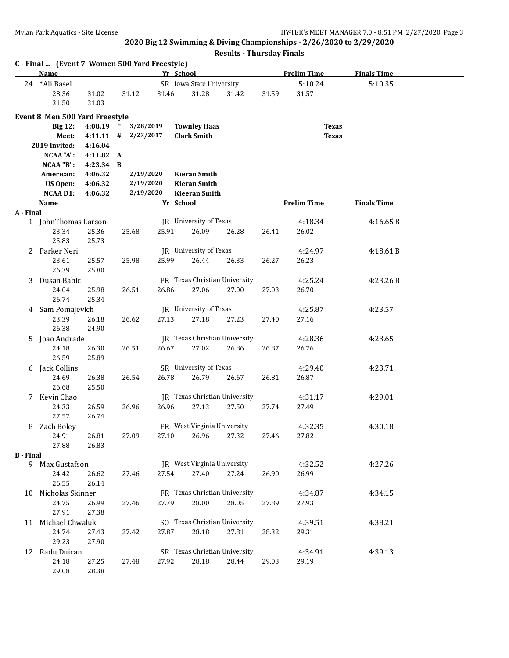|                  | C - Final  (Event 7 Women 500 Yard Freestyle) |                        |                                  |       |                                           |       |       |                              |                    |  |
|------------------|-----------------------------------------------|------------------------|----------------------------------|-------|-------------------------------------------|-------|-------|------------------------------|--------------------|--|
|                  | Name                                          |                        |                                  |       | Yr School                                 |       |       | <b>Prelim Time</b>           | <b>Finals Time</b> |  |
|                  | 24 *Ali Basel<br>28.36<br>31.50               | 31.02<br>31.03         | 31.12                            | 31.46 | SR Iowa State University<br>31.28         | 31.42 | 31.59 | 5:10.24<br>31.57             | 5:10.35            |  |
|                  | Event 8 Men 500 Yard Freestyle                |                        |                                  |       |                                           |       |       |                              |                    |  |
|                  | <b>Big 12:</b><br>Meet:                       | 4:08.19<br>$4:11.11$ # | 3/28/2019<br>$\ast$<br>2/23/2017 |       | <b>Townley Haas</b><br><b>Clark Smith</b> |       |       | <b>Texas</b><br><b>Texas</b> |                    |  |
|                  | 2019 Invited:                                 | 4:16.04                |                                  |       |                                           |       |       |                              |                    |  |
|                  | NCAA "A":<br>NCAA "B":                        | 4:11.82 A<br>4:23.34 B |                                  |       |                                           |       |       |                              |                    |  |
|                  | American:                                     | 4:06.32                | 2/19/2020                        |       | <b>Kieran Smith</b>                       |       |       |                              |                    |  |
|                  | US Open:                                      | 4:06.32                | 2/19/2020                        |       | <b>Kieran Smith</b>                       |       |       |                              |                    |  |
|                  | <b>NCAA D1:</b>                               | 4:06.32                | 2/19/2020                        |       | <b>Kieeran Smith</b>                      |       |       |                              |                    |  |
|                  | <u>Name</u>                                   |                        |                                  |       | Yr School                                 |       |       | <b>Prelim Time</b>           | <b>Finals Time</b> |  |
| A - Final        |                                               |                        |                                  |       |                                           |       |       |                              |                    |  |
|                  | 1 JohnThomas Larson<br>23.34<br>25.83         | 25.36<br>25.73         | 25.68                            | 25.91 | JR University of Texas<br>26.09           | 26.28 | 26.41 | 4:18.34<br>26.02             | 4:16.65B           |  |
|                  | 2 Parker Neri                                 |                        |                                  |       | JR University of Texas                    |       |       | 4:24.97                      | 4:18.61B           |  |
|                  | 23.61<br>26.39                                | 25.57<br>25.80         | 25.98                            | 25.99 | 26.44                                     | 26.33 | 26.27 | 26.23                        |                    |  |
| 3                | Dusan Babic                                   |                        |                                  |       | FR Texas Christian University             |       |       | 4:25.24                      | 4:23.26B           |  |
|                  | 24.04<br>26.74                                | 25.98<br>25.34         | 26.51                            | 26.86 | 27.06                                     | 27.00 | 27.03 | 26.70                        |                    |  |
|                  | 4 Sam Pomajevich                              |                        |                                  |       | JR University of Texas                    |       |       | 4:25.87                      | 4:23.57            |  |
|                  | 23.39<br>26.38                                | 26.18<br>24.90         | 26.62                            | 27.13 | 27.18                                     | 27.23 | 27.40 | 27.16                        |                    |  |
| 5                | Joao Andrade                                  |                        |                                  |       | <b>IR</b> Texas Christian University      |       |       | 4:28.36                      | 4:23.65            |  |
|                  | 24.18<br>26.59                                | 26.30<br>25.89         | 26.51                            | 26.67 | 27.02                                     | 26.86 | 26.87 | 26.76                        |                    |  |
|                  | 6 Jack Collins                                |                        |                                  |       | SR University of Texas                    |       |       | 4:29.40                      | 4:23.71            |  |
|                  | 24.69<br>26.68                                | 26.38<br>25.50         | 26.54                            | 26.78 | 26.79                                     | 26.67 | 26.81 | 26.87                        |                    |  |
|                  | 7 Kevin Chao                                  |                        |                                  |       | JR Texas Christian University             |       |       | 4:31.17                      | 4:29.01            |  |
|                  | 24.33<br>27.57                                | 26.59<br>26.74         | 26.96                            | 26.96 | 27.13                                     | 27.50 | 27.74 | 27.49                        |                    |  |
| 8                | Zach Boley                                    |                        |                                  |       | FR West Virginia University               |       |       | 4:32.35                      | 4:30.18            |  |
|                  | 24.91<br>27.88                                | 26.81<br>26.83         | 27.09                            | 27.10 | 26.96                                     | 27.32 | 27.46 | 27.82                        |                    |  |
| <b>B</b> - Final |                                               |                        |                                  |       |                                           |       |       |                              |                    |  |
|                  | 9 Max Gustafson<br>24.42                      | 26.62                  | 27.46                            | 27.54 | JR West Virginia University<br>27.40      | 27.24 | 26.90 | 4:32.52<br>26.99             | 4:27.26            |  |
|                  | 26.55                                         | 26.14                  |                                  |       |                                           |       |       |                              |                    |  |
|                  | 10 Nicholas Skinner                           |                        |                                  |       | FR Texas Christian University             |       |       | 4:34.87                      | 4:34.15            |  |
|                  | 24.75<br>27.91                                | 26.99<br>27.38         | 27.46                            | 27.79 | 28.00                                     | 28.05 | 27.89 | 27.93                        |                    |  |
|                  | 11 Michael Chwaluk                            |                        |                                  |       | SO Texas Christian University             |       |       | 4:39.51                      | 4:38.21            |  |
|                  | 24.74<br>29.23                                | 27.43<br>27.90         | 27.42                            | 27.87 | 28.18                                     | 27.81 | 28.32 | 29.31                        |                    |  |
|                  | 12 Radu Duican                                |                        |                                  |       | SR Texas Christian University             |       |       | 4:34.91                      | 4:39.13            |  |
|                  | 24.18<br>29.08                                | 27.25<br>28.38         | 27.48                            | 27.92 | 28.18                                     | 28.44 | 29.03 | 29.19                        |                    |  |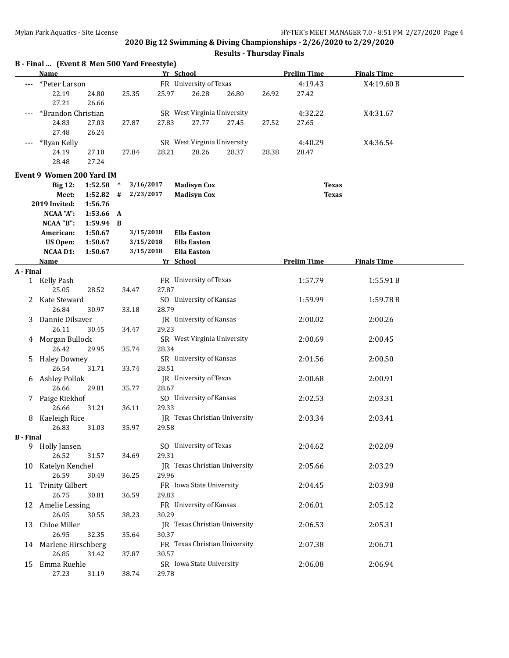|                  | B - Final  (Event 8 Men 500 Yard Freestyle)<br><b>Name</b> |                      |                     |       | Yr School                     |       |       | <b>Prelim Time</b> | <b>Finals Time</b> |  |
|------------------|------------------------------------------------------------|----------------------|---------------------|-------|-------------------------------|-------|-------|--------------------|--------------------|--|
|                  | *Peter Larson                                              |                      |                     |       | FR University of Texas        |       |       | 4:19.43            | X4:19.60B          |  |
|                  | 22.19                                                      | 24.80                | 25.35               | 25.97 | 26.28                         | 26.80 | 26.92 | 27.42              |                    |  |
|                  | 27.21                                                      | 26.66                |                     |       |                               |       |       |                    |                    |  |
|                  | *Brandon Christian                                         |                      |                     |       | SR West Virginia University   |       |       | 4:32.22            | X4:31.67           |  |
|                  | 24.83                                                      | 27.03                | 27.87               | 27.83 | 27.77                         | 27.45 | 27.52 | 27.65              |                    |  |
|                  | 27.48                                                      | 26.24                |                     |       |                               |       |       |                    |                    |  |
|                  | *Ryan Kelly                                                |                      |                     |       | SR West Virginia University   |       |       | 4:40.29            | X4:36.54           |  |
|                  | 24.19                                                      | 27.10                | 27.84               | 28.21 | 28.26                         | 28.37 | 28.38 | 28.47              |                    |  |
|                  | 28.48                                                      | 27.24                |                     |       |                               |       |       |                    |                    |  |
|                  | <b>Event 9 Women 200 Yard IM</b>                           |                      |                     |       |                               |       |       |                    |                    |  |
|                  | <b>Big 12:</b>                                             | 1:52.58              | 3/16/2017<br>$\ast$ |       | <b>Madisyn Cox</b>            |       |       | <b>Texas</b>       |                    |  |
|                  | Meet:                                                      | 1:52.82              | 2/23/2017<br>#      |       | <b>Madisyn Cox</b>            |       |       | <b>Texas</b>       |                    |  |
|                  | 2019 Invited:                                              | 1:56.76              |                     |       |                               |       |       |                    |                    |  |
|                  | <b>NCAA "A":</b><br>NCAA "B":                              | 1:53.66<br>1:59.94 B | A                   |       |                               |       |       |                    |                    |  |
|                  | American:                                                  | 1:50.67              | 3/15/2018           |       | <b>Ella Easton</b>            |       |       |                    |                    |  |
|                  | <b>US Open:</b>                                            | 1:50.67              | 3/15/2018           |       | <b>Ella Easton</b>            |       |       |                    |                    |  |
|                  | <b>NCAA D1:</b>                                            | 1:50.67              | 3/15/2018           |       | <b>Ella Easton</b>            |       |       |                    |                    |  |
|                  | <b>Name</b>                                                |                      |                     |       | Yr School                     |       |       | <b>Prelim Time</b> | <b>Finals Time</b> |  |
| A - Final        |                                                            |                      |                     |       |                               |       |       |                    |                    |  |
|                  | 1 Kelly Pash                                               |                      |                     |       | FR University of Texas        |       |       | 1:57.79            | 1:55.91B           |  |
|                  | 25.05                                                      | 28.52                | 34.47               | 27.87 |                               |       |       |                    |                    |  |
| 2                | Kate Steward                                               |                      |                     |       | SO University of Kansas       |       |       | 1:59.99            | 1:59.78B           |  |
|                  | 26.84                                                      | 30.97                | 33.18               | 28.79 | JR University of Kansas       |       |       |                    |                    |  |
| 3                | Dannie Dilsaver<br>26.11                                   | 30.45                | 34.47               | 29.23 |                               |       |       | 2:00.02            | 2:00.26            |  |
|                  | 4 Morgan Bullock                                           |                      |                     |       | SR West Virginia University   |       |       | 2:00.69            | 2:00.45            |  |
|                  | 26.42                                                      | 29.95                | 35.74               | 28.34 |                               |       |       |                    |                    |  |
| 5.               | <b>Haley Downey</b>                                        |                      |                     |       | SR University of Kansas       |       |       | 2:01.56            | 2:00.50            |  |
|                  | 26.54                                                      | 31.71                | 33.74               | 28.51 |                               |       |       |                    |                    |  |
|                  | 6 Ashley Pollok                                            |                      |                     |       | JR University of Texas        |       |       | 2:00.68            | 2:00.91            |  |
|                  | 26.66                                                      | 29.81                | 35.77               | 28.67 |                               |       |       |                    |                    |  |
|                  | 7 Paige Riekhof                                            |                      |                     |       | SO University of Kansas       |       |       | 2:02.53            | 2:03.31            |  |
|                  | 26.66                                                      | 31.21                | 36.11               | 29.33 |                               |       |       |                    |                    |  |
| 8                | Kaeleigh Rice                                              |                      |                     |       | JR Texas Christian University |       |       | 2:03.34            | 2:03.41            |  |
|                  | 26.83                                                      | 31.03                | 35.97               | 29.58 |                               |       |       |                    |                    |  |
| <b>B</b> - Final | 9 Holly Jansen                                             |                      |                     |       | SO University of Texas        |       |       | 2:04.62            | 2:02.09            |  |
|                  | 26.52                                                      | 31.57                | 34.69               | 29.31 |                               |       |       |                    |                    |  |
|                  | 10 Katelyn Kenchel                                         |                      |                     |       | JR Texas Christian University |       |       | 2:05.66            | 2:03.29            |  |
|                  | 26.59                                                      | 30.49                | 36.25               | 29.96 |                               |       |       |                    |                    |  |
|                  | 11 Trinity Gilbert                                         |                      |                     |       | FR Iowa State University      |       |       | 2:04.45            | 2:03.98            |  |
|                  | 26.75                                                      | 30.81                | 36.59               | 29.83 |                               |       |       |                    |                    |  |
|                  | 12 Amelie Lessing                                          |                      |                     |       | FR University of Kansas       |       |       | 2:06.01            | 2:05.12            |  |
|                  | 26.05                                                      | 30.55                | 38.23               | 30.29 |                               |       |       |                    |                    |  |
|                  | 13 Chloe Miller                                            |                      |                     |       | JR Texas Christian University |       |       | 2:06.53            | 2:05.31            |  |
|                  | 26.95                                                      | 32.35                | 35.64               | 30.37 |                               |       |       |                    |                    |  |
|                  | 14 Marlene Hirschberg                                      |                      |                     |       | FR Texas Christian University |       |       | 2:07.38            | 2:06.71            |  |
|                  | 26.85                                                      | 31.42                | 37.87               | 30.57 |                               |       |       |                    |                    |  |
|                  | 15 Emma Ruehle                                             |                      |                     |       | SR Iowa State University      |       |       | 2:06.08            | 2:06.94            |  |
|                  | 27.23                                                      | 31.19                | 38.74               | 29.78 |                               |       |       |                    |                    |  |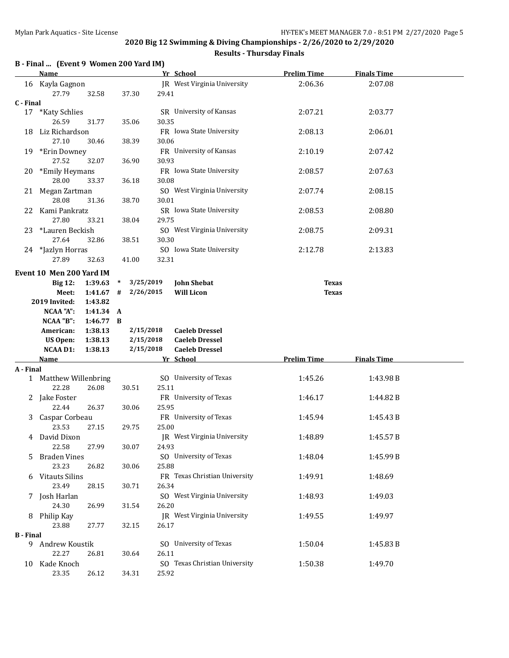#### **Results - Thursday Finals**

# **B - Final ... (Event 9 Women 200 Yard IM)**

|                  | <b>Name</b>                    |             |                     |       | Yr School                          | <b>Prelim Time</b> | <b>Finals Time</b> |  |
|------------------|--------------------------------|-------------|---------------------|-------|------------------------------------|--------------------|--------------------|--|
|                  | 16 Kayla Gagnon<br>27.79       | 32.58       | 37.30               | 29.41 | JR West Virginia University        | 2:06.36            | 2:07.08            |  |
| C - Final        |                                |             |                     |       |                                    |                    |                    |  |
| 17               | *Katy Schlies                  |             |                     |       | SR University of Kansas            | 2:07.21            | 2:03.77            |  |
| 18               | 26.59<br>Liz Richardson        | 31.77       | 35.06               | 30.35 | FR Iowa State University           | 2:08.13            | 2:06.01            |  |
|                  | 27.10                          | 30.46       | 38.39               | 30.06 |                                    |                    |                    |  |
|                  | 19 *Erin Downey                |             |                     |       | FR University of Kansas            | 2:10.19            | 2:07.42            |  |
|                  | 27.52                          | 32.07       | 36.90               | 30.93 |                                    |                    |                    |  |
|                  | 20 *Emily Heymans              |             |                     |       | FR Iowa State University           | 2:08.57            | 2:07.63            |  |
|                  | 28.00                          | 33.37       | 36.18               | 30.08 |                                    |                    |                    |  |
|                  | 21 Megan Zartman               |             |                     |       | SO West Virginia University        | 2:07.74            | 2:08.15            |  |
|                  | 28.08                          | 31.36       | 38.70               | 30.01 |                                    |                    |                    |  |
| 22               | Kami Pankratz                  |             |                     |       | SR Iowa State University           | 2:08.53            | 2:08.80            |  |
|                  | 27.80                          | 33.21       | 38.04               | 29.75 |                                    |                    |                    |  |
| 23               | *Lauren Beckish                |             |                     |       | SO West Virginia University        | 2:08.75            | 2:09.31            |  |
|                  | 27.64                          | 32.86       | 38.51               | 30.30 |                                    |                    |                    |  |
|                  | 24 *Jazlyn Horras              |             |                     |       | SO Iowa State University           | 2:12.78            | 2:13.83            |  |
|                  | 27.89                          | 32.63       | 41.00               | 32.31 |                                    |                    |                    |  |
|                  | Event 10 Men 200 Yard IM       |             |                     |       |                                    |                    |                    |  |
|                  | <b>Big 12:</b>                 | 1:39.63     | 3/25/2019<br>$\ast$ |       | <b>John Shebat</b>                 | <b>Texas</b>       |                    |  |
|                  | Meet:                          | $1:41.67$ # | 2/26/2015           |       | <b>Will Licon</b>                  | <b>Texas</b>       |                    |  |
|                  | 2019 Invited:                  | 1:43.82     |                     |       |                                    |                    |                    |  |
|                  | NCAA "A":                      | 1:41.34 A   |                     |       |                                    |                    |                    |  |
|                  | NCAA "B":                      | 1:46.77 B   |                     |       |                                    |                    |                    |  |
|                  | American:                      | 1:38.13     | 2/15/2018           |       | <b>Caeleb Dressel</b>              |                    |                    |  |
|                  | <b>US Open:</b>                | 1:38.13     | 2/15/2018           |       | <b>Caeleb Dressel</b>              |                    |                    |  |
|                  | <b>NCAA D1:</b><br><b>Name</b> | 1:38.13     | 2/15/2018           |       | <b>Caeleb Dressel</b><br>Yr School | <b>Prelim Time</b> | <b>Finals Time</b> |  |
| A - Final        |                                |             |                     |       |                                    |                    |                    |  |
|                  | 1 Matthew Willenbring          |             |                     |       | SO University of Texas             | 1:45.26            | 1:43.98B           |  |
|                  | 22.28                          | 26.08       | 30.51               | 25.11 |                                    |                    |                    |  |
|                  | 2 Jake Foster                  |             |                     |       | FR University of Texas             | 1:46.17            | 1:44.82B           |  |
|                  | 22.44                          | 26.37       | 30.06               | 25.95 |                                    |                    |                    |  |
| 3                | Caspar Corbeau                 |             |                     |       | FR University of Texas             | 1:45.94            | 1:45.43B           |  |
|                  | 23.53                          | 27.15       | 29.75               | 25.00 |                                    |                    |                    |  |
|                  | 4 David Dixon                  |             |                     |       | JR West Virginia University        | 1:48.89            | 1:45.57B           |  |
|                  | 22.58                          | 27.99       | 30.07               | 24.93 |                                    |                    |                    |  |
| 5.               | <b>Braden Vines</b>            |             |                     |       | SO University of Texas             | 1:48.04            | 1:45.99 B          |  |
|                  | 23.23                          | 26.82       | 30.06               | 25.88 |                                    |                    |                    |  |
|                  | 6 Vitauts Silins               |             |                     |       | FR Texas Christian University      | 1:49.91            | 1:48.69            |  |
|                  | 23.49                          | 28.15       | 30.71               | 26.34 |                                    |                    |                    |  |
|                  | 7 Josh Harlan                  |             |                     |       | SO West Virginia University        | 1:48.93            | 1:49.03            |  |
|                  | 24.30                          | 26.99       | 31.54               | 26.20 |                                    |                    |                    |  |
|                  | 8 Philip Kay                   |             |                     |       | JR West Virginia University        | 1:49.55            | 1:49.97            |  |
|                  | 23.88                          | 27.77       | 32.15               | 26.17 |                                    |                    |                    |  |
| <b>B</b> - Final |                                |             |                     |       |                                    |                    |                    |  |
|                  | 9 Andrew Koustik               |             |                     |       | SO University of Texas             | 1:50.04            | 1:45.83B           |  |
|                  | 22.27                          | 26.81       | 30.64               | 26.11 |                                    |                    |                    |  |
| 10               | Kade Knoch                     |             |                     |       | SO Texas Christian University      | 1:50.38            | 1:49.70            |  |
|                  | 23.35                          | 26.12       | 34.31               | 25.92 |                                    |                    |                    |  |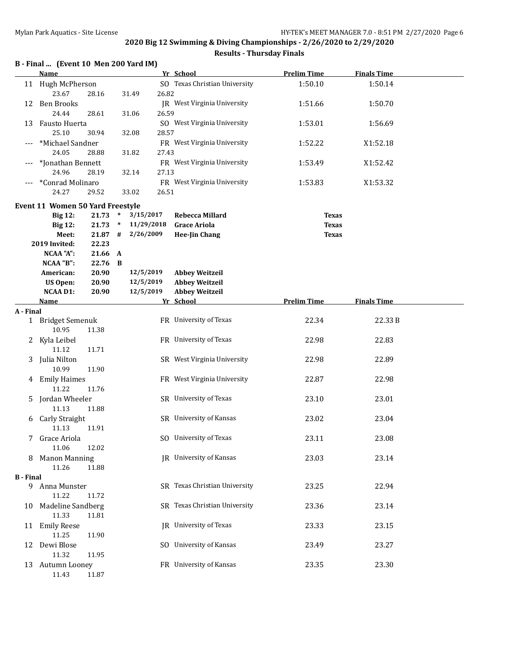|                  | B - Final  (Event 10 Men 200 Yard IM)   |           |              |            |       |                                | <b>Prelim Time</b> |                    |  |
|------------------|-----------------------------------------|-----------|--------------|------------|-------|--------------------------------|--------------------|--------------------|--|
|                  | <b>Name</b>                             |           |              |            |       | Yr School                      |                    | <b>Finals Time</b> |  |
|                  | 11 Hugh McPherson                       |           |              |            |       | SO Texas Christian University  | 1:50.10            | 1:50.14            |  |
|                  | 23.67                                   | 28.16     |              | 31.49      | 26.82 |                                |                    |                    |  |
| 12               | <b>Ben Brooks</b><br>24.44              | 28.61     |              | 31.06      | 26.59 | JR West Virginia University    | 1:51.66            | 1:50.70            |  |
| 13               | Fausto Huerta                           |           |              |            |       | SO West Virginia University    | 1:53.01            | 1:56.69            |  |
|                  | 25.10                                   | 30.94     |              | 32.08      | 28.57 |                                |                    |                    |  |
|                  | *Michael Sandner                        |           |              |            |       | FR West Virginia University    | 1:52.22            | X1:52.18           |  |
|                  | 24.05                                   | 28.88     |              | 31.82      | 27.43 |                                |                    |                    |  |
|                  | *Jonathan Bennett                       |           |              |            |       | FR West Virginia University    | 1:53.49            | X1:52.42           |  |
|                  | 24.96                                   | 28.19     |              | 32.14      | 27.13 |                                |                    |                    |  |
|                  | *Conrad Molinaro                        |           |              |            |       | FR West Virginia University    | 1:53.83            | X1:53.32           |  |
|                  | 24.27                                   | 29.52     |              | 33.02      | 26.51 |                                |                    |                    |  |
|                  | <b>Event 11 Women 50 Yard Freestyle</b> |           |              |            |       |                                |                    |                    |  |
|                  | <b>Big 12:</b>                          | 21.73     | $\ast$       | 3/15/2017  |       | Rebecca Millard                | <b>Texas</b>       |                    |  |
|                  | <b>Big 12:</b>                          | 21.73     | $\ast$       | 11/29/2018 |       | <b>Grace Ariola</b>            | <b>Texas</b>       |                    |  |
|                  | Meet:                                   | $21.87$ # |              | 2/26/2009  |       | <b>Hee-Jin Chang</b>           | <b>Texas</b>       |                    |  |
|                  | 2019 Invited:                           | 22.23     |              |            |       |                                |                    |                    |  |
|                  | <b>NCAA "A":</b>                        | 21.66 A   |              |            |       |                                |                    |                    |  |
|                  | NCAA "B":                               | 22.76     | $\mathbf{B}$ |            |       |                                |                    |                    |  |
|                  | American:                               | 20.90     |              | 12/5/2019  |       | <b>Abbey Weitzeil</b>          |                    |                    |  |
|                  | <b>US Open:</b>                         | 20.90     |              | 12/5/2019  |       | <b>Abbey Weitzeil</b>          |                    |                    |  |
|                  | <b>NCAA D1:</b>                         | 20.90     |              | 12/5/2019  |       | <b>Abbey Weitzeil</b>          |                    |                    |  |
|                  | Name                                    |           |              |            |       | Yr School                      | <b>Prelim Time</b> | <b>Finals Time</b> |  |
| A - Final        |                                         |           |              |            |       |                                |                    |                    |  |
|                  | 1 Bridget Semenuk                       |           |              |            |       | FR University of Texas         | 22.34              | 22.33B             |  |
|                  | 10.95                                   | 11.38     |              |            |       | FR University of Texas         | 22.98              | 22.83              |  |
| 2                | Kyla Leibel<br>11.12                    | 11.71     |              |            |       |                                |                    |                    |  |
| 3                | Julia Nilton                            |           |              |            |       | SR West Virginia University    | 22.98              | 22.89              |  |
|                  | 10.99                                   | 11.90     |              |            |       |                                |                    |                    |  |
|                  | 4 Emily Haimes                          |           |              |            |       | FR West Virginia University    | 22.87              | 22.98              |  |
|                  | 11.22                                   | 11.76     |              |            |       |                                |                    |                    |  |
| 5                | Jordan Wheeler                          |           |              |            |       | SR University of Texas         | 23.10              | 23.01              |  |
|                  | 11.13                                   | 11.88     |              |            |       |                                |                    |                    |  |
| 6                | Carly Straight                          |           |              |            |       | SR University of Kansas        | 23.02              | 23.04              |  |
|                  | 11.13                                   | 11.91     |              |            |       |                                |                    |                    |  |
|                  | Grace Ariola                            |           |              |            |       | SO University of Texas         | 23.11              | 23.08              |  |
|                  | 11.06                                   | 12.02     |              |            |       |                                |                    |                    |  |
| 8                | <b>Manon Manning</b>                    |           |              |            |       | <b>IR</b> University of Kansas | 23.03              | 23.14              |  |
|                  | 11.26                                   | 11.88     |              |            |       |                                |                    |                    |  |
| <b>B</b> - Final |                                         |           |              |            |       |                                |                    |                    |  |
|                  | 9 Anna Munster                          |           |              |            |       | SR Texas Christian University  | 23.25              | 22.94              |  |
|                  | 11.22                                   | 11.72     |              |            |       |                                |                    |                    |  |
|                  | 10 Madeline Sandberg                    |           |              |            |       | SR Texas Christian University  | 23.36              | 23.14              |  |
|                  | 11.33                                   | 11.81     |              |            |       |                                |                    |                    |  |
|                  | 11 Emily Reese                          |           |              |            |       | JR University of Texas         | 23.33              | 23.15              |  |
|                  | 11.25                                   | 11.90     |              |            |       | SO University of Kansas        |                    |                    |  |
| 12               | Dewi Blose<br>11.32                     | 11.95     |              |            |       |                                | 23.49              | 23.27              |  |
|                  | 13 Autumn Looney                        |           |              |            |       | FR University of Kansas        | 23.35              | 23.30              |  |
|                  | 11.43                                   | 11.87     |              |            |       |                                |                    |                    |  |
|                  |                                         |           |              |            |       |                                |                    |                    |  |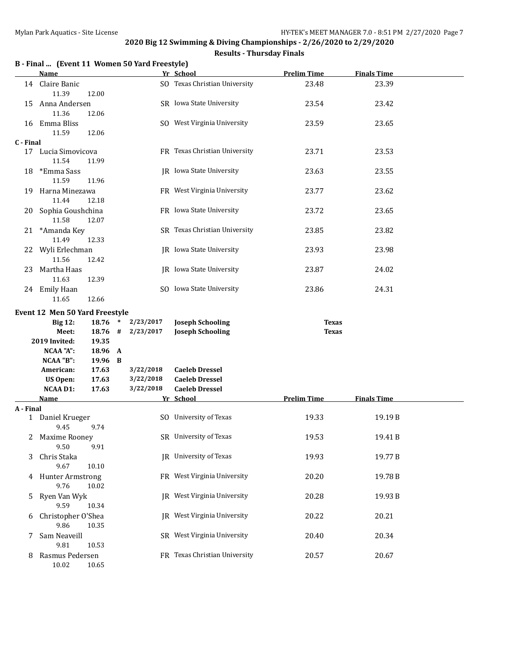|  |  |  | B - Final  (Event 11 Women 50 Yard Freestyle) |
|--|--|--|-----------------------------------------------|
|--|--|--|-----------------------------------------------|

|           | <b>Name</b>                    |         |              |           | Yr School                     | <b>Prelim Time</b> | <b>Finals Time</b> |  |
|-----------|--------------------------------|---------|--------------|-----------|-------------------------------|--------------------|--------------------|--|
|           | 14 Claire Banic<br>11.39       | 12.00   |              |           | SO Texas Christian University | 23.48              | 23.39              |  |
| 15        | Anna Andersen<br>11.36         | 12.06   |              |           | SR Iowa State University      | 23.54              | 23.42              |  |
|           | 16 Emma Bliss<br>11.59         | 12.06   |              |           | SO West Virginia University   | 23.59              | 23.65              |  |
| C - Final |                                |         |              |           |                               |                    |                    |  |
|           | 17 Lucia Simovicova<br>11.54   | 11.99   |              |           | FR Texas Christian University | 23.71              | 23.53              |  |
| 18        | *Emma Sass<br>11.59            | 11.96   |              |           | JR Iowa State University      | 23.63              | 23.55              |  |
| 19        | Harna Minezawa<br>11.44        | 12.18   |              |           | FR West Virginia University   | 23.77              | 23.62              |  |
|           | 20 Sophia Goushchina<br>11.58  | 12.07   |              |           | FR Iowa State University      | 23.72              | 23.65              |  |
|           | 21 *Amanda Key<br>11.49        | 12.33   |              |           | SR Texas Christian University | 23.85              | 23.82              |  |
|           | 22 Wyli Erlechman<br>11.56     | 12.42   |              |           | IR Iowa State University      | 23.93              | 23.98              |  |
| 23        | Martha Haas<br>11.63           | 12.39   |              |           | JR Iowa State University      | 23.87              | 24.02              |  |
|           | 24 Emily Haan<br>11.65         | 12.66   |              |           | SO Iowa State University      | 23.86              | 24.31              |  |
|           | Event 12 Men 50 Yard Freestyle |         |              |           |                               |                    |                    |  |
|           | <b>Big 12:</b>                 | 18.76   | $\ast$       | 2/23/2017 | <b>Joseph Schooling</b>       | <b>Texas</b>       |                    |  |
|           | Meet:                          | 18.76   | #            | 2/23/2017 | <b>Joseph Schooling</b>       | <b>Texas</b>       |                    |  |
|           | 2019 Invited:                  | 19.35   |              |           |                               |                    |                    |  |
|           | NCAA "A":                      | 18.96   | $\mathbf{A}$ |           |                               |                    |                    |  |
|           | NCAA "B":                      | 19.96 B |              |           |                               |                    |                    |  |
|           | American:                      | 17.63   |              | 3/22/2018 | <b>Caeleb Dressel</b>         |                    |                    |  |
|           | <b>US Open:</b>                | 17.63   |              | 3/22/2018 | <b>Caeleb Dressel</b>         |                    |                    |  |
|           | <b>NCAA D1:</b>                | 17.63   |              | 3/22/2018 | <b>Caeleb Dressel</b>         |                    |                    |  |
|           | <b>Name</b>                    |         |              |           | Yr School                     | <b>Prelim Time</b> | <b>Finals Time</b> |  |
| A - Final |                                |         |              |           |                               |                    |                    |  |
|           | 1 Daniel Krueger<br>9.45       | 9.74    |              |           | SO University of Texas        | 19.33              | 19.19 B            |  |
|           | 2 Maxime Rooney<br>9.50        | 9.91    |              |           | SR University of Texas        | 19.53              | 19.41B             |  |
| 3         | Chris Staka<br>9.67            | 10.10   |              |           | JR University of Texas        | 19.93              | 19.77B             |  |
|           | 4 Hunter Armstrong<br>9.76     | 10.02   |              |           | FR West Virginia University   | 20.20              | 19.78 B            |  |
| 5         | Ryen Van Wyk<br>9.59           | 10.34   |              |           | JR West Virginia University   | 20.28              | 19.93B             |  |
| 6         | Christopher O'Shea<br>9.86     | 10.35   |              |           | IR West Virginia University   | 20.22              | 20.21              |  |
| 7         | Sam Neaveill<br>9.81           | 10.53   |              |           | SR West Virginia University   | 20.40              | 20.34              |  |
| 8         | Rasmus Pedersen<br>10.02       | 10.65   |              |           | FR Texas Christian University | 20.57              | 20.67              |  |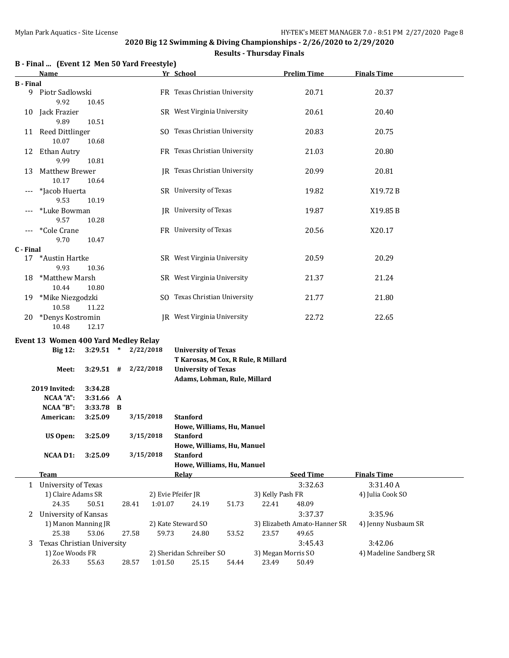|                  | Name                                 |                    |                         |           | Yr School                                                  |       |                    | <b>Prelim Time</b>           | <b>Finals Time</b>      |  |
|------------------|--------------------------------------|--------------------|-------------------------|-----------|------------------------------------------------------------|-------|--------------------|------------------------------|-------------------------|--|
| <b>B</b> - Final |                                      |                    |                         |           |                                                            |       |                    |                              |                         |  |
| 9.               | Piotr Sadlowski<br>9.92              | 10.45              |                         |           | FR Texas Christian University                              |       |                    | 20.71                        | 20.37                   |  |
|                  | 10 Jack Frazier<br>9.89              | 10.51              |                         |           | SR West Virginia University                                |       |                    | 20.61                        | 20.40                   |  |
|                  | 11 Reed Dittlinger                   |                    |                         |           | SO Texas Christian University                              |       |                    | 20.83                        | 20.75                   |  |
|                  | 10.07<br>12 Ethan Autry              | 10.68              |                         |           | FR Texas Christian University                              |       |                    | 21.03                        | 20.80                   |  |
| 13               | 9.99<br>Matthew Brewer               | 10.81              |                         |           | <b>IR</b> Texas Christian University                       |       |                    | 20.99                        | 20.81                   |  |
|                  | 10.17<br>*Jacob Huerta               | 10.64              |                         |           | SR University of Texas                                     |       |                    | 19.82                        | X19.72B                 |  |
|                  | 9.53<br>*Luke Bowman                 | 10.19              |                         |           | JR University of Texas                                     |       |                    | 19.87                        | X19.85 B                |  |
|                  | 9.57<br>*Cole Crane                  | 10.28              |                         |           | FR University of Texas                                     |       |                    | 20.56                        | X20.17                  |  |
|                  | 9.70                                 | 10.47              |                         |           |                                                            |       |                    |                              |                         |  |
| C - Final        |                                      |                    |                         |           |                                                            |       |                    |                              |                         |  |
| 17               | *Austin Hartke<br>9.93               | 10.36              |                         |           | SR West Virginia University                                |       |                    | 20.59                        | 20.29                   |  |
| 18               | *Matthew Marsh<br>10.44              | 10.80              |                         |           | SR West Virginia University                                |       |                    | 21.37                        | 21.24                   |  |
| 19               | *Mike Niezgodzki<br>10.58            | 11.22              |                         |           | SO Texas Christian University                              |       |                    | 21.77                        | 21.80                   |  |
| 20               | *Denys Kostromin<br>10.48            | 12.17              |                         |           | JR West Virginia University                                |       |                    | 22.72                        | 22.65                   |  |
|                  | Event 13 Women 400 Yard Medley Relay |                    |                         |           |                                                            |       |                    |                              |                         |  |
|                  | <b>Big 12:</b>                       |                    | $3:29.51$ * $2/22/2018$ |           | <b>University of Texas</b>                                 |       |                    |                              |                         |  |
|                  |                                      |                    |                         |           | T Karosas, M Cox, R Rule, R Millard                        |       |                    |                              |                         |  |
|                  | Meet:                                |                    | $3:29.51$ # $2/22/2018$ |           | <b>University of Texas</b><br>Adams, Lohman, Rule, Millard |       |                    |                              |                         |  |
|                  | 2019 Invited:<br><b>NCAA "A":</b>    | 3:34.28<br>3:31.66 | A                       |           |                                                            |       |                    |                              |                         |  |
|                  | NCAA "B":                            | 3:33.78            | B                       |           |                                                            |       |                    |                              |                         |  |
|                  | American:                            | 3:25.09            |                         | 3/15/2018 | Stanford                                                   |       |                    |                              |                         |  |
|                  |                                      |                    |                         |           | Howe, Williams, Hu, Manuel                                 |       |                    |                              |                         |  |
|                  | <b>US Open:</b>                      | 3:25.09            |                         | 3/15/2018 | Stanford                                                   |       |                    |                              |                         |  |
|                  |                                      |                    |                         |           | Howe, Williams, Hu, Manuel                                 |       |                    |                              |                         |  |
|                  | <b>NCAA D1:</b>                      | 3:25.09            |                         | 3/15/2018 | <b>Stanford</b>                                            |       |                    |                              |                         |  |
|                  |                                      |                    |                         |           | Howe, Williams, Hu, Manuel                                 |       |                    |                              |                         |  |
|                  | <b>Team</b>                          |                    |                         |           | <b>Relay</b>                                               |       |                    | <b>Seed Time</b>             | <b>Finals Time</b>      |  |
|                  | 1 University of Texas                |                    |                         |           |                                                            |       |                    | 3:32.63                      | 3:31.40A                |  |
|                  | 1) Claire Adams SR                   |                    |                         |           | 2) Evie Pfeifer JR                                         |       | 3) Kelly Pash FR   |                              | 4) Julia Cook SO        |  |
|                  | 24.35                                | 50.51              | 28.41                   | 1:01.07   | 24.19                                                      | 51.73 | 22.41              | 48.09                        |                         |  |
| 2                | <b>University of Kansas</b>          |                    |                         |           |                                                            |       |                    | 3:37.37                      | 3:35.96                 |  |
|                  | 1) Manon Manning JR                  |                    |                         |           | 2) Kate Steward SO                                         |       |                    | 3) Elizabeth Amato-Hanner SR | 4) Jenny Nusbaum SR     |  |
|                  | 25.38                                | 53.06              | 27.58                   | 59.73     | 24.80                                                      | 53.52 | 23.57              | 49.65                        |                         |  |
| 3                | Texas Christian University           |                    |                         |           |                                                            |       |                    | 3:45.43                      | 3:42.06                 |  |
|                  | 1) Zoe Woods FR                      |                    |                         |           | 2) Sheridan Schreiber SO                                   |       | 3) Megan Morris SO |                              | 4) Madeline Sandberg SR |  |
|                  | 26.33                                | 55.63              | 28.57                   | 1:01.50   | 25.15                                                      | 54.44 | 23.49              | 50.49                        |                         |  |
|                  |                                      |                    |                         |           |                                                            |       |                    |                              |                         |  |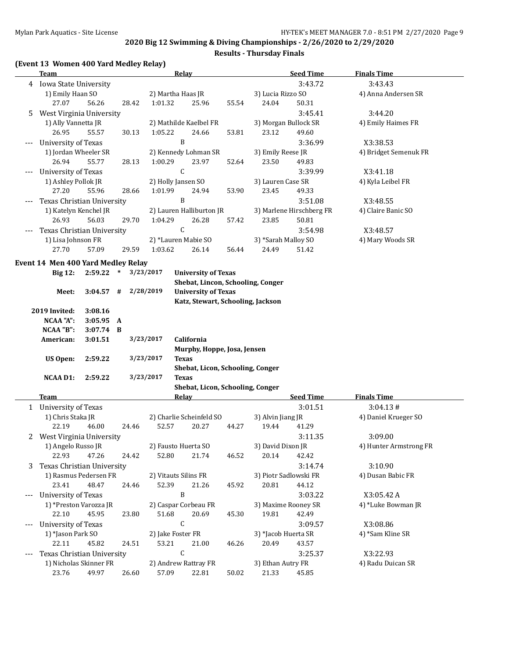| (Event 13 Women 400 Yard Medley Relay) |      |  |
|----------------------------------------|------|--|
| т                                      | Dala |  |

|   | <b>Team</b>                        |             |       |                   | <b>Relay</b>                      |       |                       | <b>Seed Time</b>         | <b>Finals Time</b>     |
|---|------------------------------------|-------------|-------|-------------------|-----------------------------------|-------|-----------------------|--------------------------|------------------------|
|   | 4 Iowa State University            |             |       |                   |                                   |       |                       | 3:43.72                  | 3:43.43                |
|   | 1) Emily Haan SO                   |             |       | 2) Martha Haas JR |                                   |       | 3) Lucia Rizzo SO     |                          | 4) Anna Andersen SR    |
|   | 27.07                              | 56.26       | 28.42 | 1:01.32           | 25.96                             | 55.54 | 24.04                 | 50.31                    |                        |
| 5 | West Virginia University           |             |       |                   |                                   |       |                       | 3:45.41                  | 3:44.20                |
|   | 1) Ally Vannetta JR                |             |       |                   | 2) Mathilde Kaelbel FR            |       | 3) Morgan Bullock SR  |                          | 4) Emily Haimes FR     |
|   | 26.95                              | 55.57       | 30.13 | 1:05.22           | 24.66                             | 53.81 | 23.12                 | 49.60                    |                        |
|   | University of Texas                |             |       |                   | B                                 |       |                       | 3:36.99                  | X3:38.53               |
|   | 1) Jordan Wheeler SR               |             |       |                   | 2) Kennedy Lohman SR              |       | 3) Emily Reese JR     |                          | 4) Bridget Semenuk FR  |
|   | 26.94                              | 55.77       |       |                   | 23.97                             |       |                       |                          |                        |
|   |                                    |             | 28.13 | 1:00.29           |                                   | 52.64 | 23.50                 | 49.83                    |                        |
|   | University of Texas                |             |       |                   | $\mathsf C$                       |       |                       | 3:39.99                  | X3:41.18               |
|   | 1) Ashley Pollok JR                |             |       |                   | 2) Holly Jansen SO                |       | 3) Lauren Case SR     |                          | 4) Kyla Leibel FR      |
|   | 27.20                              | 55.96       | 28.66 | 1:01.99           | 24.94                             | 53.90 | 23.45                 | 49.33                    |                        |
|   | Texas Christian University         |             |       |                   | $\, {\bf B}$                      |       |                       | 3:51.08                  | X3:48.55               |
|   | 1) Katelyn Kenchel JR              |             |       |                   | 2) Lauren Halliburton JR          |       |                       | 3) Marlene Hirschberg FR | 4) Claire Banic SO     |
|   | 26.93                              | 56.03       | 29.70 | 1:04.29           | 26.28                             | 57.42 | 23.85                 | 50.81                    |                        |
|   | Texas Christian University         |             |       |                   | $\mathsf C$                       |       |                       | 3:54.98                  | X3:48.57               |
|   | 1) Lisa Johnson FR                 |             |       |                   | 2) *Lauren Mabie SO               |       | 3) *Sarah Malloy SO   |                          | 4) Mary Woods SR       |
|   | 27.70                              | 57.09       | 29.59 | 1:03.62           | 26.14                             | 56.44 | 24.49                 | 51.42                    |                        |
|   |                                    |             |       |                   |                                   |       |                       |                          |                        |
|   | Event 14 Men 400 Yard Medley Relay |             |       |                   |                                   |       |                       |                          |                        |
|   | <b>Big 12:</b>                     | $2:59.22$ * |       | 3/23/2017         | <b>University of Texas</b>        |       |                       |                          |                        |
|   |                                    |             |       |                   | Shebat, Lincon, Schooling, Conger |       |                       |                          |                        |
|   | Meet:                              | $3:04.57$ # |       | 2/28/2019         | <b>University of Texas</b>        |       |                       |                          |                        |
|   |                                    |             |       |                   | Katz, Stewart, Schooling, Jackson |       |                       |                          |                        |
|   | 2019 Invited:                      | 3:08.16     |       |                   |                                   |       |                       |                          |                        |
|   | <b>NCAA "A":</b>                   | 3:05.95 A   |       |                   |                                   |       |                       |                          |                        |
|   | NCAA "B":                          | $3:07.74$ B |       |                   |                                   |       |                       |                          |                        |
|   | American:                          | 3:01.51     |       | 3/23/2017         | California                        |       |                       |                          |                        |
|   |                                    |             |       |                   | Murphy, Hoppe, Josa, Jensen       |       |                       |                          |                        |
|   | <b>US Open:</b>                    | 2:59.22     |       | 3/23/2017         | <b>Texas</b>                      |       |                       |                          |                        |
|   |                                    |             |       |                   | Shebat, Licon, Schooling, Conger  |       |                       |                          |                        |
|   | <b>NCAA D1:</b>                    | 2:59.22     |       | 3/23/2017         | <b>Texas</b>                      |       |                       |                          |                        |
|   |                                    |             |       |                   | Shebat, Licon, Schooling, Conger  |       |                       |                          |                        |
|   | Team                               |             |       |                   | Relay                             |       |                       | <b>Seed Time</b>         | <b>Finals Time</b>     |
|   | 1 University of Texas              |             |       |                   |                                   |       |                       | 3:01.51                  | 3:04.13#               |
|   | 1) Chris Staka JR                  |             |       |                   | 2) Charlie Scheinfeld SO          |       | 3) Alvin Jiang JR     |                          | 4) Daniel Krueger SO   |
|   | 22.19                              | 46.00       | 24.46 | 52.57             | 20.27                             | 44.27 | 19.44                 | 41.29                    |                        |
|   |                                    |             |       |                   |                                   |       |                       |                          |                        |
|   | 2 West Virginia University         |             |       |                   |                                   |       |                       | 3:11.35                  | 3:09.00                |
|   | 1) Angelo Russo JR                 |             |       |                   | 2) Fausto Huerta SO               |       | 3) David Dixon JR     |                          | 4) Hunter Armstrong FR |
|   | 22.93                              | 47.26       | 24.42 | 52.80             | 21.74                             | 46.52 | 20.14                 | 42.42                    |                        |
| 3 | Texas Christian University         |             |       |                   |                                   |       |                       | 3:14.74                  | 3:10.90                |
|   | 1) Rasmus Pedersen FR              |             |       |                   | 2) Vitauts Silins FR              |       | 3) Piotr Sadlowski FR |                          | 4) Dusan Babic FR      |
|   | 23.41                              | 48.47       | 24.46 | 52.39             | 21.26                             | 45.92 | 20.81                 | 44.12                    |                        |
|   | University of Texas                |             |       |                   | B                                 |       |                       | 3:03.22                  | X3:05.42A              |
|   | 1) *Preston Varozza JR             |             |       |                   | 2) Caspar Corbeau FR              |       | 3) Maxime Rooney SR   |                          | 4) *Luke Bowman JR     |
|   | 22.10                              | 45.95       | 23.80 | 51.68             | 20.69                             | 45.30 | 19.81                 | 42.49                    |                        |
|   | University of Texas                |             |       |                   | $\mathsf C$                       |       |                       | 3:09.57                  | X3:08.86               |
|   | 1) *Jason Park SO                  |             |       | 2) Jake Foster FR |                                   |       | 3) *Jacob Huerta SR   |                          | 4) *Sam Kline SR       |
|   | 22.11                              | 45.82       | 24.51 | 53.21             | 21.00                             | 46.26 | 20.49                 | 43.57                    |                        |
|   | Texas Christian University         |             |       |                   | C                                 |       |                       | 3:25.37                  | X3:22.93               |
|   | 1) Nicholas Skinner FR             |             |       |                   | 2) Andrew Rattray FR              |       | 3) Ethan Autry FR     |                          | 4) Radu Duican SR      |
|   | 23.76                              | 49.97       | 26.60 | 57.09             | 22.81                             | 50.02 | 21.33                 | 45.85                    |                        |
|   |                                    |             |       |                   |                                   |       |                       |                          |                        |